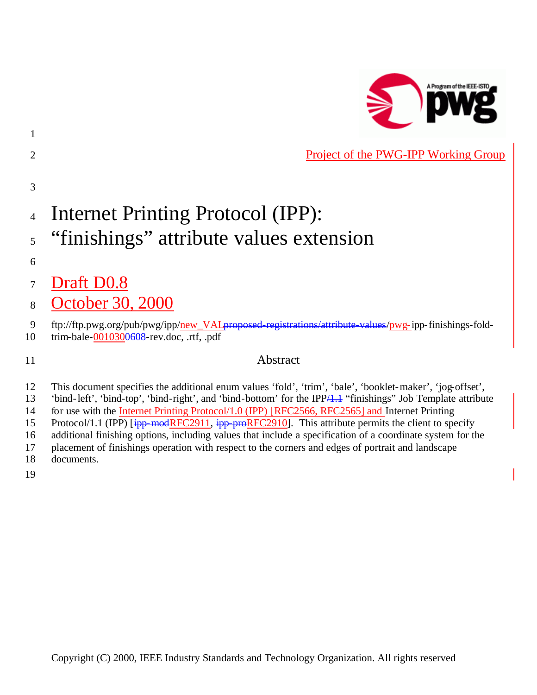

**Project of the PWG-IPP Working Group** 

# Internet Printing Protocol (IPP):

- <sup>5</sup> "finishings" attribute values extension
- 

- Draft D0.8
- October 30, 2000

- trim-bale-0010300608-rev.doc, .rtf, .pdf
- 

# Abstract

- This document specifies the additional enum values 'fold', 'trim', 'bale', 'booklet-maker', 'jog-offset',
- 'bind-left', 'bind-top', 'bind-right', and 'bind-bottom' for the IPP/1.1 "finishings" Job Template attribute
- for use with the Internet Printing Protocol/1.0 (IPP) [RFC2566, RFC2565] and Internet Printing 15 Protocol/1.1 (IPP) [ipp-modRFC2911, ipp-proRFC2910]. This attribute permits the client to specify
- additional finishing options, including values that include a specification of a coordinate system for the
- placement of finishings operation with respect to the corners and edges of portrait and landscape
- documents.
- 

<sup>9</sup> ftp://ftp.pwg.org/pub/pwg/ipp/new\_VALproposed-registrations/attribute-values/pwg-ipp-finishings-fold-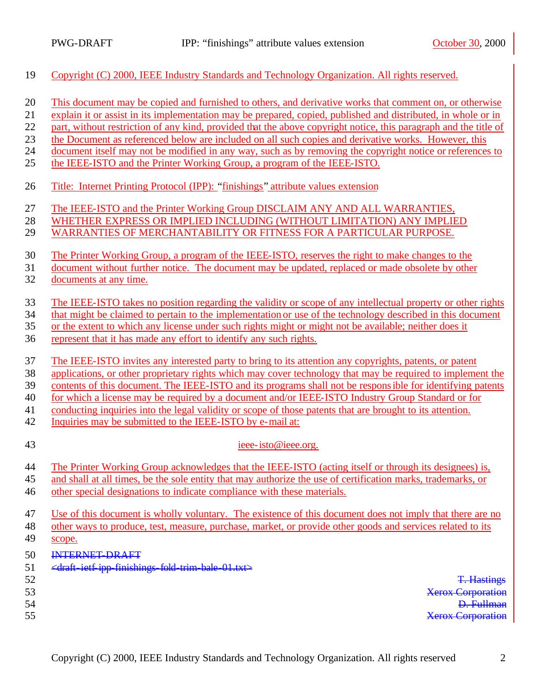- Copyright (C) 2000, IEEE Industry Standards and Technology Organization. All rights reserved.
- This document may be copied and furnished to others, and derivative works that comment on, or otherwise
- explain it or assist in its implementation may be prepared, copied, published and distributed, in whole or in
- part, without restriction of any kind, provided that the above copyright notice, this paragraph and the title of
- the Document as referenced below are included on all such copies and derivative works. However, this
- document itself may not be modified in any way, such as by removing the copyright notice or references to
- the IEEE-ISTO and the Printer Working Group, a program of the IEEE-ISTO.
- Title: Internet Printing Protocol (IPP): "finishings" attribute values extension
- The IEEE-ISTO and the Printer Working Group DISCLAIM ANY AND ALL WARRANTIES,
- WHETHER EXPRESS OR IMPLIED INCLUDING (WITHOUT LIMITATION) ANY IMPLIED
- WARRANTIES OF MERCHANTABILITY OR FITNESS FOR A PARTICULAR PURPOSE.
- The Printer Working Group, a program of the IEEE-ISTO, reserves the right to make changes to the
- document without further notice. The document may be updated, replaced or made obsolete by other
- documents at any time.
- The IEEE-ISTO takes no position regarding the validity or scope of any intellectual property or other rights
- that might be claimed to pertain to the implementation or use of the technology described in this document
- or the extent to which any license under such rights might or might not be available; neither does it
- represent that it has made any effort to identify any such rights.
- The IEEE-ISTO invites any interested party to bring to its attention any copyrights, patents, or patent
- applications, or other proprietary rights which may cover technology that may be required to implement the
- contents of this document. The IEEE-ISTO and its programs shall not be responsible for identifying patents
- for which a license may be required by a document and/or IEEE-ISTO Industry Group Standard or for
- conducting inquiries into the legal validity or scope of those patents that are brought to its attention.
- Inquiries may be submitted to the IEEE-ISTO by e-mail at:
- 

#### ieee-isto@ieee.org.

- The Printer Working Group acknowledges that the IEEE-ISTO (acting itself or through its designees) is,
- and shall at all times, be the sole entity that may authorize the use of certification marks, trademarks, or
- other special designations to indicate compliance with these materials.
- Use of this document is wholly voluntary. The existence of this document does not imply that there are no
- other ways to produce, test, measure, purchase, market, or provide other goods and services related to its
- scope.
- INTERNET-DRAFT
- 51  $\leftarrow$   $\leftarrow$   $\leftarrow$   $\leftarrow$   $\leftarrow$   $\leftarrow$   $\leftarrow$   $\leftarrow$   $\leftarrow$   $\leftarrow$   $\leftarrow$   $\leftarrow$   $\leftarrow$   $\leftarrow$   $\leftarrow$   $\leftarrow$   $\leftarrow$   $\leftarrow$   $\leftarrow$   $\leftarrow$   $\leftarrow$   $\leftarrow$   $\leftarrow$   $\leftarrow$   $\leftarrow$   $\leftarrow$   $\leftarrow$   $\leftarrow$   $\leftarrow$   $\leftarrow$   $\leftarrow$   $\leftarrow$   $\leftarrow$   $\leftarrow$   $\leftarrow$   $\leftarrow$   $\$
- 
- 
- 

 T. Hastings Xerox Corporation D. Fullman Xerox Corporation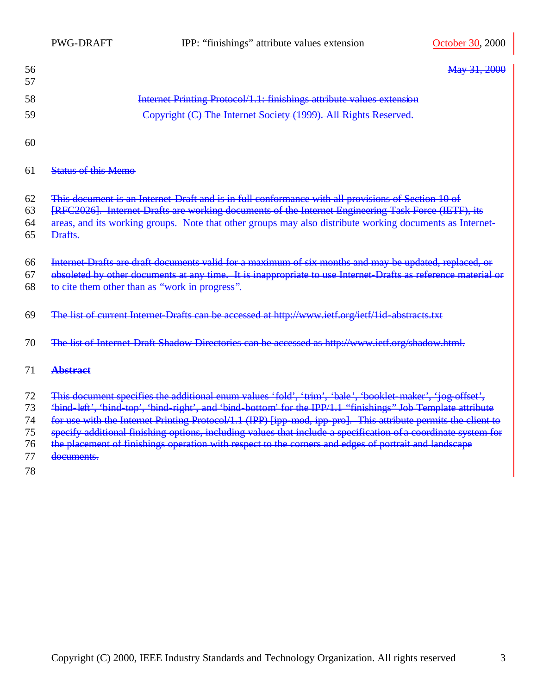| 56<br>57 |                                                                       | May 31, 2000 |
|----------|-----------------------------------------------------------------------|--------------|
| 58       | Internet Printing Protocol/1.1: finishings attribute values extension |              |
| 59       | Copyright (C) The Internet Society (1999). All Rights Reserved.       |              |

#### Status of this Memo

- This document is an Internet-Draft and is in full conformance with all provisions of Section 10 of
- 63 [RFC2026]. Internet Drafts are working documents of the Internet Engineering Task Force (IETF), its
- 64 areas, and its working groups. Note that other groups may also distribute working documents as Internet-
- Drafts.
- Internet-Drafts are draft documents valid for a maximum of six months and may be updated, replaced, or
- obsoleted by other documents at any time. It is inappropriate to use Internet-Drafts as reference material or to cite them other than as "work in progress".
- 69 The list of current Internet Drafts can be accessed at http://www.ietf.org/ietf/1id-abstracts.txt
- The list of Internet-Draft Shadow Directories can be accessed as http://www.ietf.org/shadow.html.

#### **Abstract**

- This document specifies the additional enum values 'fold', 'trim', 'bale', 'booklet-maker', 'jog-offset',
- 'bind-left', 'bind-top', 'bind-right', and 'bind-bottom' for the IPP/1.1 "finishings" Job Template attribute
- for use with the Internet Printing Protocol/1.1 (IPP) [ipp-mod, ipp-pro]. This attribute permits the client to
- specify additional finishing options, including values that include a specification of a coordinate system for
- the placement of finishings operation with respect to the corners and edges of portrait and landscape
- documents.
-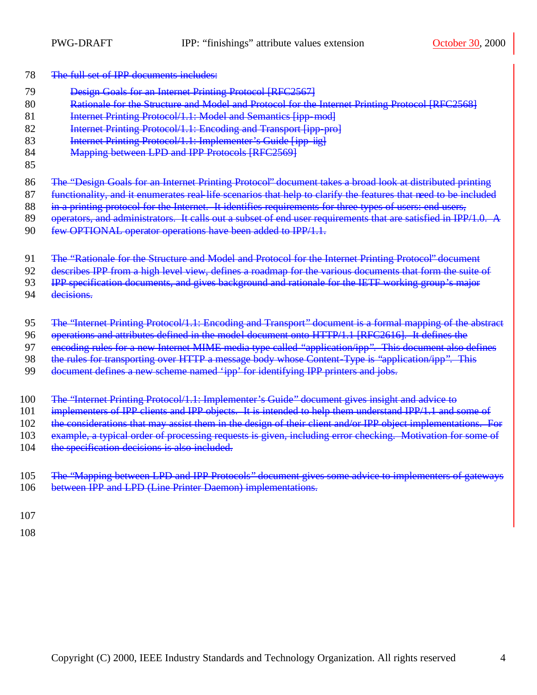- 78 The full set of IPP documents includes:
- 79 **Design Goals for an Internet Printing Protocol [RFC2567]**
- 80 **Rationale for the Structure and Model and Protocol for the Internet Printing Protocol [RFC2568]**
- 81 **Internet Printing Protocol/1.1: Model and Semantics [ipp-mod]**
- 82 **Internet Printing Protocol/1.1: Encoding and Transport [ipp-pro]**
- 83 **Internet Printing Protocol/1.1: Implementer's Guide [ipp-iig]**
- 84 Mapping between LPD and IPP Protocols [RFC2569]
- 85
- 86 The "Design Goals for an Internet Printing Protocol" document takes a broad look at distributed printing
- 87 functionality, and it enumerates real-life scenarios that help to clarify the features that need to be included
- 88 in a printing protocol for the Internet. It identifies requirements for three types of users: end users,
- 89 operators, and administrators. It calls out a subset of end user requirements that are satisfied in IPP/1.0. A
- 90 few OPTIONAL operator operations have been added to IPP/1.1.
- 91 The "Rationale for the Structure and Model and Protocol for the Internet Printing Protocol" document
- 92 describes IPP from a high level view, defines a roadmap for the various documents that form the suite of
- 93 IPP specification documents, and gives background and rationale for the IETF working group's major
- 94 decisions.
- 95 The "Internet Printing Protocol/1.1: Encoding and Transport" document is a formal mapping of the abstract
- 96 operations and attributes defined in the model document onto HTTP/1.1 [RFC2616]. It defines the
- 97 encoding rules for a new Internet MIME media type called "application/ipp". This document also defines
- 98 the rules for transporting over HTTP a message body whose Content-Type is "application/ipp". This
- 99 document defines a new scheme named 'ipp' for identifying IPP printers and jobs.
- 100 The "Internet Printing Protocol/1.1: Implementer's Guide" document gives insight and advice to
- 101 implementers of IPP clients and IPP objects. It is intended to help them understand IPP/1.1 and some of
- 102 the considerations that may assist them in the design of their client and/or IPP object implementations. For
- 103 example, a typical order of processing requests is given, including error checking. Motivation for some of
- 104 the specification decisions is also included.
- 105 The "Mapping between LPD and IPP Protocols" document gives some advice to implementers of gateways 106 between IPP and LPD (Line Printer Daemon) implementations.
- 107
- 108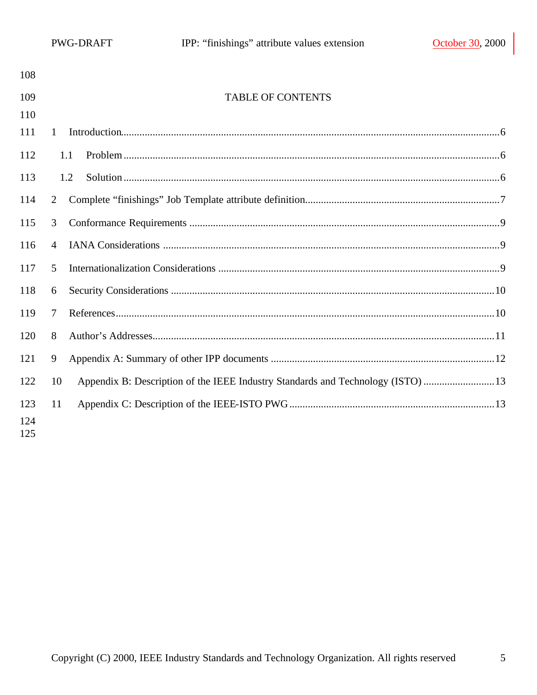| 108               |                |                                                                                 |  |
|-------------------|----------------|---------------------------------------------------------------------------------|--|
| 109               |                | <b>TABLE OF CONTENTS</b>                                                        |  |
| 110               |                |                                                                                 |  |
| 111               | 1              |                                                                                 |  |
| 112               |                | 1.1                                                                             |  |
| 113               |                | 1.2                                                                             |  |
| 114               | 2              |                                                                                 |  |
| 115               | 3              |                                                                                 |  |
| 116               | $\overline{4}$ |                                                                                 |  |
| 117               | 5              |                                                                                 |  |
| 118               | 6              |                                                                                 |  |
| 119               | $\tau$         |                                                                                 |  |
| 120               | 8              |                                                                                 |  |
| 121               | 9              |                                                                                 |  |
| 122               | 10             | Appendix B: Description of the IEEE Industry Standards and Technology (ISTO) 13 |  |
| 123<br>124<br>125 | 11             |                                                                                 |  |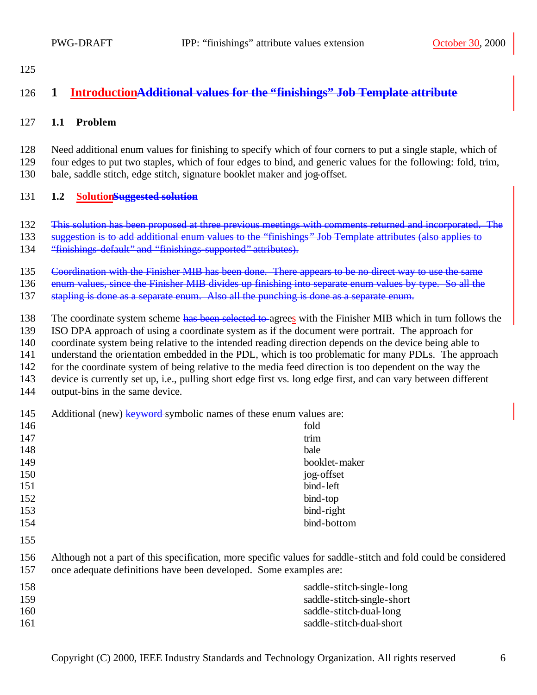# **1 IntroductionAdditional values for the "finishings" Job Template attribute**

#### **1.1 Problem**

 Need additional enum values for finishing to specify which of four corners to put a single staple, which of four edges to put two staples, which of four edges to bind, and generic values for the following: fold, trim, bale, saddle stitch, edge stitch, signature booklet maker and jog-offset.

#### **1.2 SolutionSuggested solution**

- This solution has been proposed at three previous meetings with comments returned and incorporated. The
- suggestion is to add additional enum values to the "finishings " Job Template attributes (also applies to
- "finishings-default" and "finishings-supported" attributes).
- Coordination with the Finisher MIB has been done. There appears to be no direct way to use the same
- 136 enum values, since the Finisher MIB divides up finishing into separate enum values by type. So all the
- stapling is done as a separate enum. Also all the punching is done as a separate enum.
- 138 The coordinate system scheme has been selected to agrees with the Finisher MIB which in turn follows the
- ISO DPA approach of using a coordinate system as if the document were portrait. The approach for
- coordinate system being relative to the intended reading direction depends on the device being able to
- understand the orientation embedded in the PDL, which is too problematic for many PDLs. The approach
- for the coordinate system of being relative to the media feed direction is too dependent on the way the
- device is currently set up, i.e., pulling short edge first vs. long edge first, and can vary between different
- output-bins in the same device.

| 145<br>Additional (new) keyword-symbolic names of these enum values are: |  |
|--------------------------------------------------------------------------|--|
|--------------------------------------------------------------------------|--|

|            | $\mu$ recentional (new) new world symposite names of these endm various are.                                   |                            |
|------------|----------------------------------------------------------------------------------------------------------------|----------------------------|
| 146        |                                                                                                                | fold                       |
| 147        |                                                                                                                | trim                       |
| 148        |                                                                                                                | bale                       |
| 149        |                                                                                                                | booklet-maker              |
| 150        |                                                                                                                | jog-offset                 |
| 151        |                                                                                                                | bind-left                  |
| 152        |                                                                                                                | bind-top                   |
| 153        |                                                                                                                | bind-right                 |
| 154        |                                                                                                                | bind-bottom                |
| 155        |                                                                                                                |                            |
| 156<br>157 | Although not a part of this specification, more specific values for saddle-stitch and fold could be considered |                            |
|            | once adequate definitions have been developed. Some examples are:                                              |                            |
| 158        |                                                                                                                | saddle-stitch-single-long  |
| 159        |                                                                                                                | saddle-stitch-single-short |
| 160        |                                                                                                                | saddle-stitch-dual-long    |
| 161        |                                                                                                                | saddle-stitch-dual-short   |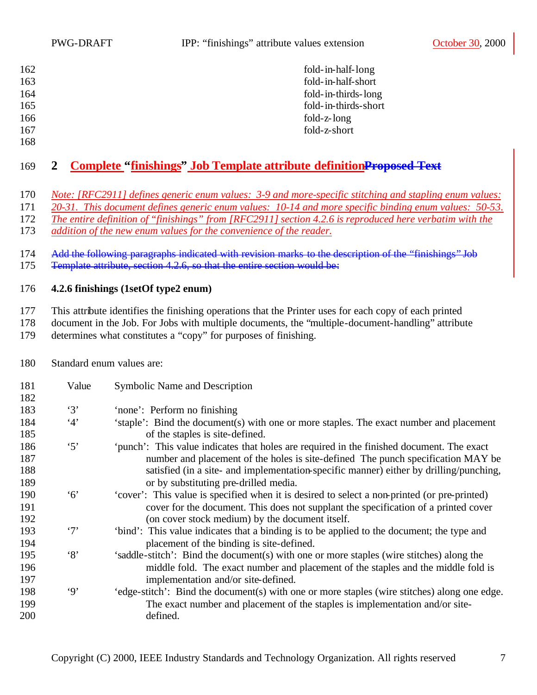| 162               | fold-in-half-long    |
|-------------------|----------------------|
| 163               | fold-in-half-short   |
| 164               | fold-in-thirds-long  |
| 165               | fold-in-thirds-short |
| 166               | fold-z-long          |
| 167               | fold-z-short         |
| $1 \times \Omega$ |                      |

# **2 Complete "finishings" Job Template attribute definitionProposed Text**

*Note: [RFC2911] defines generic enum values: 3-9 and more-specific stitching and stapling enum values:* 

*20-31. This document defines generic enum values: 10-14 and more specific binding enum values: 50-53.* 

*The entire definition of "finishings" from [RFC2911] section 4.2.6 is reproduced here verbatim with the* 

*addition of the new enum values for the convenience of the reader.*

 Add the following paragraphs indicated with revision marks to the description of the "finishings" Job 175 Femplate attribute, section 4.2.6, so that the entire section would be:

# **4.2.6 finishings (1setOf type2 enum)**

This attribute identifies the finishing operations that the Printer uses for each copy of each printed

document in the Job. For Jobs with multiple documents, the "multiple-document-handling" attribute

determines what constitutes a "copy" for purposes of finishing.

Standard enum values are:

| 181<br>182 | Value      | Symbolic Name and Description                                                                                                                                                  |
|------------|------------|--------------------------------------------------------------------------------------------------------------------------------------------------------------------------------|
| 183        | $\cdot$ 3' | 'none': Perform no finishing                                                                                                                                                   |
| 184<br>185 | 4'         | 'staple': Bind the document(s) with one or more staples. The exact number and placement<br>of the staples is site-defined.                                                     |
| 186<br>187 | $\cdot$ 5' | 'punch': This value indicates that holes are required in the finished document. The exact<br>number and placement of the holes is site-defined. The punch specification MAY be |
| 188<br>189 |            | satisfied (in a site- and implementation-specific manner) either by drilling/punching,<br>or by substituting pre-drilled media.                                                |
| 190        | $\cdot 6$  | 'cover': This value is specified when it is desired to select a non-printed (or pre-printed)                                                                                   |
| 191<br>192 |            | cover for the document. This does not supplant the specification of a printed cover<br>(on cover stock medium) by the document itself.                                         |
| 193<br>194 | $\cdot$ 7' | 'bind': This value indicates that a binding is to be applied to the document; the type and<br>placement of the binding is site-defined.                                        |
| 195        | $\lq\lq 8$ | 'saddle-stitch': Bind the document(s) with one or more staples (wire stitches) along the                                                                                       |
| 196<br>197 |            | middle fold. The exact number and placement of the staples and the middle fold is<br>implementation and/or site-defined.                                                       |
| 198<br>199 | $\cdot$ 9' | 'edge-stitch': Bind the document(s) with one or more staples (wire stitches) along one edge.<br>The exact number and placement of the staples is implementation and/or site-   |
| 200        |            | defined.                                                                                                                                                                       |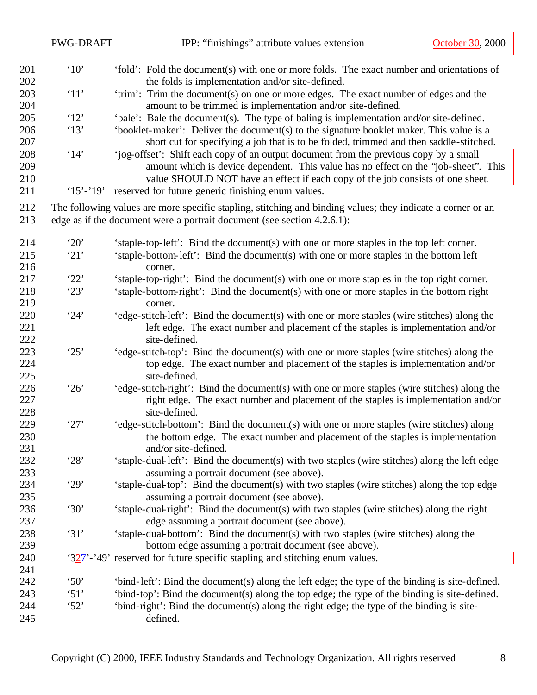|            | <b>PWG-DRAFT</b>     | IPP: "finishings" attribute values extension<br>October 30, 2000                                                                     |
|------------|----------------------|--------------------------------------------------------------------------------------------------------------------------------------|
| 201        | $^{\circ}10^{\circ}$ | 'fold': Fold the document(s) with one or more folds. The exact number and orientations of                                            |
| 202        |                      | the folds is implementation and/or site-defined.                                                                                     |
| 203        | '11'                 | 'trim': Trim the document(s) on one or more edges. The exact number of edges and the                                                 |
| 204        |                      | amount to be trimmed is implementation and/or site-defined.                                                                          |
| 205        | '12'                 | 'bale': Bale the document(s). The type of baling is implementation and/or site-defined.                                              |
| 206        | '13'                 | 'booklet-maker': Deliver the document(s) to the signature booklet maker. This value is a                                             |
| 207        |                      | short cut for specifying a job that is to be folded, trimmed and then saddle-stitched.                                               |
| 208        | '14'                 | 'jog-offset': Shift each copy of an output document from the previous copy by a small                                                |
| 209<br>210 |                      | amount which is device dependent. This value has no effect on the "job-sheet". This                                                  |
| 211        | $15' - 19'$          | value SHOULD NOT have an effect if each copy of the job consists of one sheet.<br>reserved for future generic finishing enum values. |
| 212        |                      | The following values are more specific stapling, stitching and binding values; they indicate a corner or an                          |
| 213        |                      | edge as if the document were a portrait document (see section 4.2.6.1):                                                              |
|            |                      |                                                                                                                                      |
| 214        | 20'                  | 'staple-top-left': Bind the document(s) with one or more staples in the top left corner.                                             |
| 215        | 21'                  | 'staple-bottom-left': Bind the document(s) with one or more staples in the bottom left                                               |
| 216        |                      | corner.                                                                                                                              |
| 217        | '22'                 | 'staple-top-right': Bind the document(s) with one or more staples in the top right corner.                                           |
| 218        | '23'                 | 'staple-bottom-right': Bind the document(s) with one or more staples in the bottom right                                             |
| 219        |                      | corner.                                                                                                                              |
| 220        | 24'                  | 'edge-stitch-left': Bind the document(s) with one or more staples (wire stitches) along the                                          |
| 221        |                      | left edge. The exact number and placement of the staples is implementation and/or                                                    |
| 222        |                      | site-defined.                                                                                                                        |
| 223<br>224 | 25'                  | 'edge-stitch-top': Bind the document(s) with one or more staples (wire stitches) along the                                           |
| 225        |                      | top edge. The exact number and placement of the staples is implementation and/or<br>site-defined.                                    |
| 226        | 26'                  | 'edge-stitch-right': Bind the document(s) with one or more staples (wire stitches) along the                                         |
| 227        |                      | right edge. The exact number and placement of the staples is implementation and/or                                                   |
| 228        |                      | site-defined.                                                                                                                        |
| 229        | 27'                  | 'edge-stitch-bottom': Bind the document(s) with one or more staples (wire stitches) along                                            |
| 230        |                      | the bottom edge. The exact number and placement of the staples is implementation                                                     |
| 231        |                      | and/or site-defined.                                                                                                                 |
| 232        | '28'                 | 'staple-dual-left': Bind the document(s) with two staples (wire stitches) along the left edge                                        |
| 233        |                      | assuming a portrait document (see above).                                                                                            |
| 234        | '29'                 | 'staple-dual-top': Bind the document(s) with two staples (wire stitches) along the top edge                                          |
| 235        |                      | assuming a portrait document (see above).                                                                                            |
| 236        | '30'                 | 'staple-dual-right': Bind the document(s) with two staples (wire stitches) along the right                                           |
| 237        |                      | edge assuming a portrait document (see above).                                                                                       |
| 238        | 31'                  | 'staple-dual-bottom': Bind the document(s) with two staples (wire stitches) along the                                                |
| 239        |                      | bottom edge assuming a portrait document (see above).                                                                                |
| 240        |                      | $324'$ -'49' reserved for future specific stapling and stitching enum values.                                                        |
| 241        |                      |                                                                                                                                      |
| 242        | $\cdot$ 50'          | 'bind-left': Bind the document(s) along the left edge; the type of the binding is site-defined.                                      |
| 243        | $\mathfrak{S}1$      | 'bind-top': Bind the document(s) along the top edge; the type of the binding is site-defined.                                        |
| 244        | 52'                  | 'bind-right': Bind the document(s) along the right edge; the type of the binding is site-                                            |
| 245        |                      | defined.                                                                                                                             |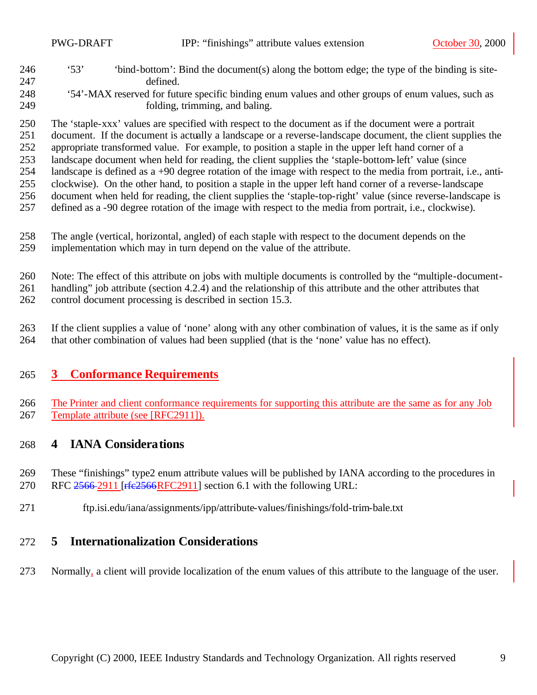'53' 'bind-bottom': Bind the document(s) along the bottom edge; the type of the binding is site-defined.

The 'staple-xxx' values are specified with respect to the document as if the document were a portrait

 document. If the document is actually a landscape or a reverse-landscape document, the client supplies the appropriate transformed value. For example, to position a staple in the upper left hand corner of a

landscape document when held for reading, the client supplies the 'staple-bottom-left' value (since

landscape is defined as a +90 degree rotation of the image with respect to the media from portrait, i.e., anti-

clockwise). On the other hand, to position a staple in the upper left hand corner of a reverse-landscape

document when held for reading, the client supplies the 'staple-top-right' value (since reverse-landscape is

- defined as a -90 degree rotation of the image with respect to the media from portrait, i.e., clockwise).
- The angle (vertical, horizontal, angled) of each staple with respect to the document depends on the implementation which may in turn depend on the value of the attribute.

Note: The effect of this attribute on jobs with multiple documents is controlled by the "multiple-document-

handling" job attribute (section 4.2.4) and the relationship of this attribute and the other attributes that

control document processing is described in section 15.3.

 If the client supplies a value of 'none' along with any other combination of values, it is the same as if only that other combination of values had been supplied (that is the 'none' value has no effect).

# **3 Conformance Requirements**

266 The Printer and client conformance requirements for supporting this attribute are the same as for any Job Template attribute (see [RFC2911]).

# **4 IANA Considerations**

 These "finishings" type2 enum attribute values will be published by IANA according to the procedures in 270 RFC 2566-2911 [rfc2566RFC2911] section 6.1 with the following URL:

ftp.isi.edu/iana/assignments/ipp/attribute-values/finishings/fold-trim-bale.txt

# **5 Internationalization Considerations**

Normally, a client will provide localization of the enum values of this attribute to the language of the user.

 '54'-MAX reserved for future specific binding enum values and other groups of enum values, such as folding, trimming, and baling.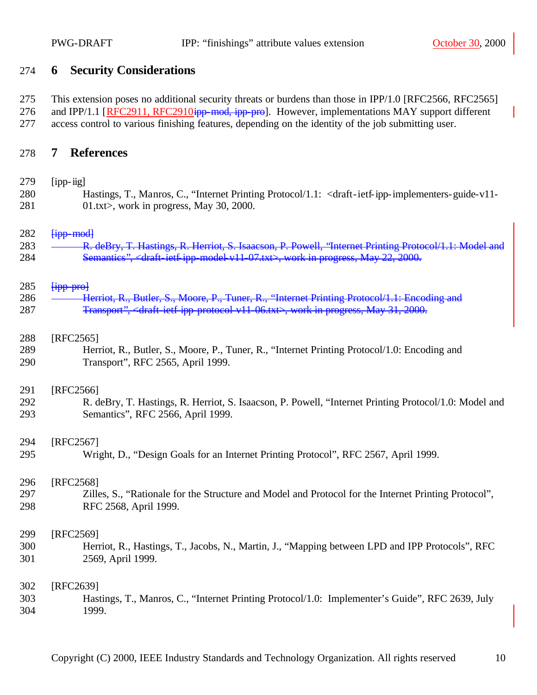#### **6 Security Considerations**

 This extension poses no additional security threats or burdens than those in IPP/1.0 [RFC2566, RFC2565] 276 and IPP/1.1 [RFC2911, RFC2910<del>ipp-mod, ipp-pro</del>]. However, implementations MAY support different access control to various finishing features, depending on the identity of the job submitting user.

#### **7 References**

| 279 | $[ipp-iig]$                                                                                                                                          |
|-----|------------------------------------------------------------------------------------------------------------------------------------------------------|
| 280 | Hastings, T., Manros, C., "Internet Printing Protocol/1.1: <draft-ietf-ipp-implementers-guide-v11-< th=""></draft-ietf-ipp-implementers-guide-v11-<> |
| 281 | 01.txt>, work in progress, May 30, 2000.                                                                                                             |

#### $\overline{f}$   $\overline{f}$   $\overline{f}$   $\overline{f}$   $\overline{f}$   $\overline{f}$   $\overline{f}$   $\overline{f}$   $\overline{f}$   $\overline{f}$   $\overline{f}$   $\overline{f}$   $\overline{f}$   $\overline{f}$   $\overline{f}$   $\overline{f}$   $\overline{f}$   $\overline{f}$   $\overline{f}$   $\overline{f}$   $\overline{f}$   $\overline{f}$   $\overline{f}$   $\overline{f}$

| 283 | R deBry T Hestings R Herriot S Isagoson P Powell "Internet Printing Protocol 1: Model and                        |
|-----|------------------------------------------------------------------------------------------------------------------|
|     | <del>- R. GCDTY, T. Hastiligs, R. HCHOt, B. Baatsoli, F. Fowen, "mieniet Finitiig Fiotocol/T.T. Model and</del>  |
| 284 | Semantics", <draft-ietf-ipp-model-v11-07.txt>, work in progress, May 22, 2000.</draft-ietf-ipp-model-v11-07.txt> |

#### $\overline{f}$   $\overline{f}$   $\overline{f}$   $\overline{f}$   $\overline{f}$   $\overline{f}$   $\overline{f}$   $\overline{f}$   $\overline{f}$   $\overline{f}$   $\overline{f}$

| 286 | Herriot R, Rutler S, Moore D, Tuper R, "Internet Printing Protocol/1 1: Encoding and<br>Hernot, R., Butler, B., MOOR, F., Tuner, R., Thierner Financy Frococor F.T. Encounty and |
|-----|----------------------------------------------------------------------------------------------------------------------------------------------------------------------------------|
| 287 | Transport", <draft ietf="" ipp="" protocol="" v11-06.txt="">, work in progress, May 31, 2000.</draft>                                                                            |

#### [RFC2565]

 Herriot, R., Butler, S., Moore, P., Tuner, R., "Internet Printing Protocol/1.0: Encoding and Transport", RFC 2565, April 1999.

#### [RFC2566]

 R. deBry, T. Hastings, R. Herriot, S. Isaacson, P. Powell, "Internet Printing Protocol/1.0: Model and Semantics", RFC 2566, April 1999.

#### [RFC2567]

Wright, D., "Design Goals for an Internet Printing Protocol", RFC 2567, April 1999.

#### [RFC2568]

 Zilles, S., "Rationale for the Structure and Model and Protocol for the Internet Printing Protocol", RFC 2568, April 1999.

#### [RFC2569]

 Herriot, R., Hastings, T., Jacobs, N., Martin, J., "Mapping between LPD and IPP Protocols", RFC 2569, April 1999.

#### [RFC2639] Hastings, T., Manros, C., "Internet Printing Protocol/1.0: Implementer's Guide", RFC 2639, July 1999.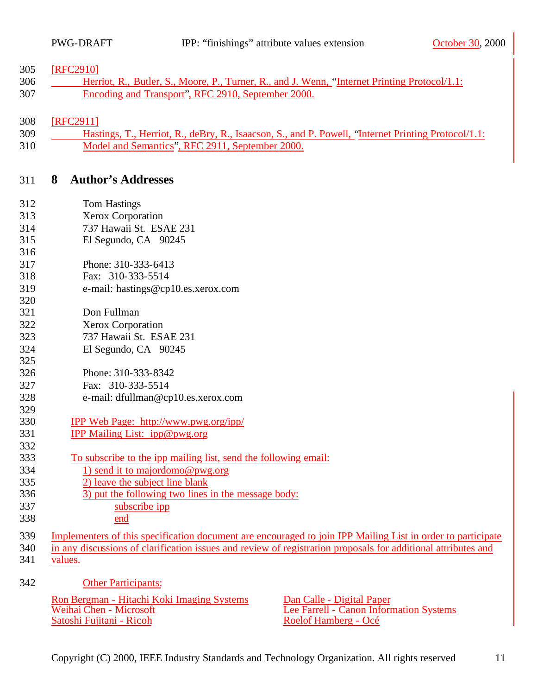#### [RFC2910]

306 Herriot, R., Butler, S., Moore, P., Turner, R., and J. Wenn, "Internet Printing Protocol/1.1: Encoding and Transport", RFC 2910, September 2000.

#### [RFC2911]

 Hastings, T., Herriot, R., deBry, R., Isaacson, S., and P. Powell, "Internet Printing Protocol/1.1: Model and Semantics", RFC 2911, September 2000.

### **8 Author's Addresses**

| 312 | <b>Tom Hastings</b>                                                                                           |
|-----|---------------------------------------------------------------------------------------------------------------|
| 313 | <b>Xerox Corporation</b>                                                                                      |
| 314 | 737 Hawaii St. ESAE 231                                                                                       |
| 315 | El Segundo, CA 90245                                                                                          |
| 316 |                                                                                                               |
| 317 | Phone: 310-333-6413                                                                                           |
| 318 | Fax: 310-333-5514                                                                                             |
| 319 | e-mail: hastings@cp10.es.xerox.com                                                                            |
| 320 |                                                                                                               |
| 321 | Don Fullman                                                                                                   |
| 322 | Xerox Corporation                                                                                             |
| 323 | 737 Hawaii St. ESAE 231                                                                                       |
| 324 | El Segundo, CA 90245                                                                                          |
| 325 |                                                                                                               |
| 326 | Phone: 310-333-8342                                                                                           |
| 327 | Fax: 310-333-5514                                                                                             |
| 328 | e-mail: dfullman@cp10.es.xerox.com                                                                            |
| 329 |                                                                                                               |
| 330 | IPP Web Page: http://www.pwg.org/ipp/                                                                         |
| 331 | IPP Mailing List: ipp@pwg.org                                                                                 |
| 332 |                                                                                                               |
| 333 | To subscribe to the ipp mailing list, send the following email:                                               |
| 334 | 1) send it to majordomo@pwg.org                                                                               |
| 335 | 2) leave the subject line blank                                                                               |
| 336 | 3) put the following two lines in the message body:                                                           |
| 337 | subscribe ipp                                                                                                 |
| 338 | end                                                                                                           |
| 339 | Implementers of this specification document are encouraged to join IPP Mailing List in order to participate   |
| 340 | in any discussions of clarification issues and review of registration proposals for additional attributes and |
| 341 | values.                                                                                                       |
|     |                                                                                                               |
| 342 | <b>Other Participants:</b>                                                                                    |
|     | Ron Bergman - Hitachi Koki Imaging Systems<br>Dan Calle - Digital Paper                                       |
|     | Weihai Chen - Microsoft<br>Lee Farrell - Canon Information Systems                                            |
|     | Satoshi Fujitani - Ricoh<br>Roelof Hamberg - Océ                                                              |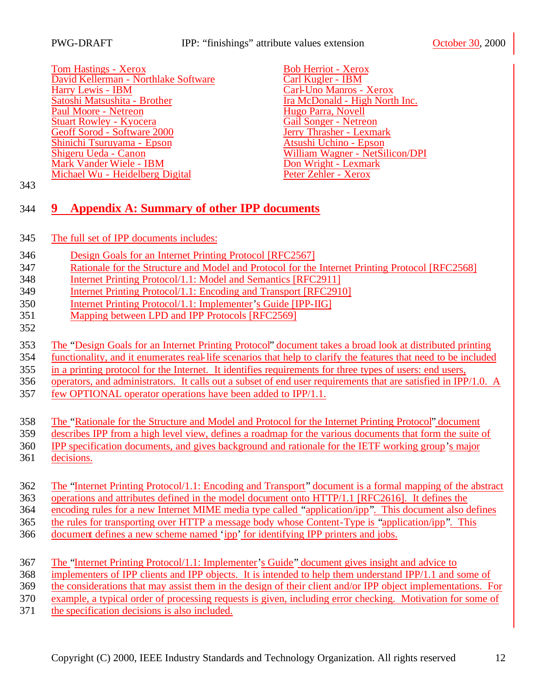PWG-DRAFT IPP: "finishings" attribute values extension October 30, 2000

**Tom Hastings - Xerox**<br> **Exercise 3 Bob Herriot - Xerox**<br> **Exercise 2 Bob Herriot - Xerox**<br> **Exercise 2 Bob Herriot - Xerox**<br> **Exercise 2 Bob Herriot - Xerox** David Kellerman - Northlake Software Harry Lewis - IBM<br>
Satoshi Matsushita - Brother Transformed a Transformation of Transformation of Transformation of Transformation of Transformation of Transformation of Transformation of Transformation of Transformation o Paul Moore - Netreon<br>
Stuart Rowley - Kyocera<br>
Stuart Rowley - Kyocera<br>
Cail Songer - Netreon Stuart Rowley - Kyocera<br>
Geoff Sorod - Software 2000<br>
Geoff Sorod - Software 2000 Geoff Sorod - Software 2000<br>
Shinichi Tsuruyama - Epson<br>
Atsushi Uchino - Epson Shinichi Tsuruyama - Epson Shigeru Ueda - Canon William Wagner - NetSilicon/DPI<br>
Mark Vander Wiele - IBM<br>
Don Wright - Lexmark Mark Vander Wiele - IBM<br>
Michael Wu - Heidelberg Digital<br>
Peter Zehler - Xerox Michael Wu - Heidelberg Digital

Ira McDonald - High North Inc.<br>Hugo Parra, Novell

## **9 Appendix A: Summary of other IPP documents**

- The full set of IPP documents includes:
- Design Goals for an Internet Printing Protocol [RFC2567]
- Rationale for the Structure and Model and Protocol for the Internet Printing Protocol [RFC2568]
- Internet Printing Protocol/1.1: Model and Semantics [RFC2911]
- Internet Printing Protocol/1.1: Encoding and Transport [RFC2910]
- Internet Printing Protocol/1.1: Implementer's Guide [IPP-IIG]
- Mapping between LPD and IPP Protocols [RFC2569]
- 

The "Design Goals for an Internet Printing Protocol" document takes a broad look at distributed printing

functionality, and it enumerates real-life scenarios that help to clarify the features that need to be included

- in a printing protocol for the Internet. It identifies requirements for three types of users: end users,
- operators, and administrators. It calls out a subset of end user requirements that are satisfied in IPP/1.0. A
- few OPTIONAL operator operations have been added to IPP/1.1.

The "Rationale for the Structure and Model and Protocol for the Internet Printing Protocol" document

- describes IPP from a high level view, defines a roadmap for the various documents that form the suite of
- IPP specification documents, and gives background and rationale for the IETF working group's major
- decisions.

The "Internet Printing Protocol/1.1: Encoding and Transport" document is a formal mapping of the abstract

operations and attributes defined in the model document onto HTTP/1.1 [RFC2616]. It defines the

encoding rules for a new Internet MIME media type called "application/ipp". This document also defines

the rules for transporting over HTTP a message body whose Content-Type is "application/ipp". This

document defines a new scheme named 'ipp' for identifying IPP printers and jobs.

| 367 | The "Internet Printing Protocol/1.1: Implementer's Guide" document gives insight and advice to               |
|-----|--------------------------------------------------------------------------------------------------------------|
| 368 | implementers of IPP clients and IPP objects. It is intended to help them understand IPP $/1.1$ and some of   |
| 369 | the considerations that may assist them in the design of their client and/or IPP object implementations. For |
| 370 | example, a typical order of processing requests is given, including error checking. Motivation for some of   |

the specification decisions is also included.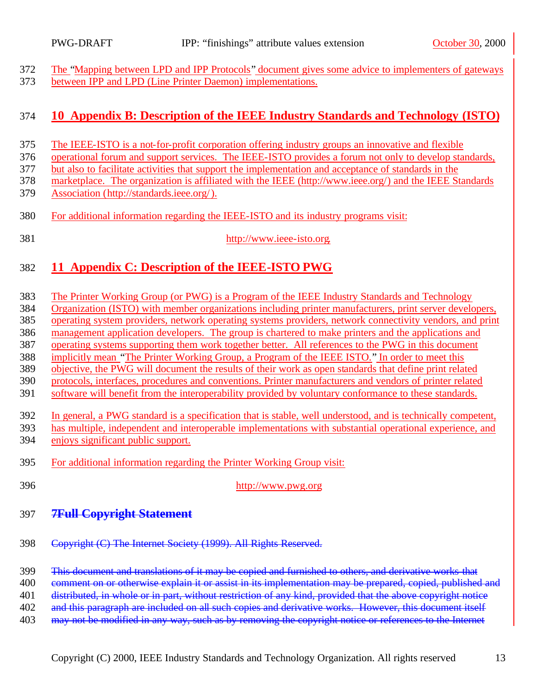The "Mapping between LPD and IPP Protocols" document gives some advice to implementers of gateways between IPP and LPD (Line Printer Daemon) implementations.

### **10 Appendix B: Description of the IEEE Industry Standards and Technology (ISTO)**

- The IEEE-ISTO is a not-for-profit corporation offering industry groups an innovative and flexible
- operational forum and support services. The IEEE-ISTO provides a forum not only to develop standards,
- but also to facilitate activities that support the implementation and acceptance of standards in the
- marketplace. The organization is affiliated with the IEEE (http://www.ieee.org/) and the IEEE Standards
- Association (http://standards.ieee.org/).
- For additional information regarding the IEEE-ISTO and its industry programs visit:
- 
- http://www.ieee-isto.org.

# **11 Appendix C: Description of the IEEE-ISTO PWG**

- The Printer Working Group (or PWG) is a Program of the IEEE Industry Standards and Technology Organization (ISTO) with member organizations including printer manufacturers, print server developers, operating system providers, network operating systems providers, network connectivity vendors, and print management application developers. The group is chartered to make printers and the applications and operating systems supporting them work together better. All references to the PWG in this document implicitly mean "The Printer Working Group, a Program of the IEEE ISTO." In order to meet this objective, the PWG will document the results of their work as open standards that define print related protocols, interfaces, procedures and conventions. Printer manufacturers and vendors of printer related software will benefit from the interoperability provided by voluntary conformance to these standards. In general, a PWG standard is a specification that is stable, well understood, and is technically competent, has multiple, independent and interoperable implementations with substantial operational experience, and enjoys significant public support. For additional information regarding the Printer Working Group visit:
- http://www.pwg.org
- **7Full Copyright Statement**
- Copyright (C) The Internet Society (1999). All Rights Reserved.
- This document and translations of it may be copied and furnished to others, and derivative works that
- 400 comment on or otherwise explain it or assist in its implementation may be prepared, copied, published and
- 401 distributed, in whole or in part, without restriction of any kind, provided that the above copyright notice
- 402 and this paragraph are included on all such copies and derivative works. However, this document itself
- 403 may not be modified in any way, such as by removing the copyright notice or references to the Internet